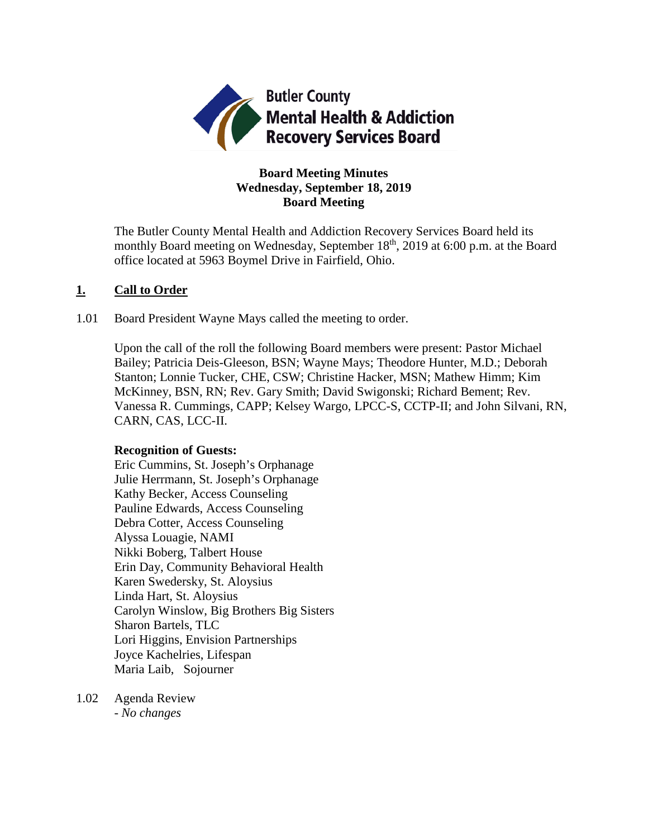

# **Board Meeting Minutes Wednesday, September 18, 2019 Board Meeting**

The Butler County Mental Health and Addiction Recovery Services Board held its monthly Board meeting on Wednesday, September 18<sup>th</sup>, 2019 at 6:00 p.m. at the Board office located at 5963 Boymel Drive in Fairfield, Ohio.

# **1. Call to Order**

1.01 Board President Wayne Mays called the meeting to order.

Upon the call of the roll the following Board members were present: Pastor Michael Bailey; Patricia Deis-Gleeson, BSN; Wayne Mays; Theodore Hunter, M.D.; Deborah Stanton; Lonnie Tucker, CHE, CSW; Christine Hacker, MSN; Mathew Himm; Kim McKinney, BSN, RN; Rev. Gary Smith; David Swigonski; Richard Bement; Rev. Vanessa R. Cummings, CAPP; Kelsey Wargo, LPCC-S, CCTP-II; and John Silvani, RN, CARN, CAS, LCC-II.

### **Recognition of Guests:**

Eric Cummins, St. Joseph's Orphanage Julie Herrmann, St. Joseph's Orphanage Kathy Becker, Access Counseling Pauline Edwards, Access Counseling Debra Cotter, Access Counseling Alyssa Louagie, NAMI Nikki Boberg, Talbert House Erin Day, Community Behavioral Health Karen Swedersky, St. Aloysius Linda Hart, St. Aloysius Carolyn Winslow, Big Brothers Big Sisters Sharon Bartels, TLC Lori Higgins, Envision Partnerships Joyce Kachelries, Lifespan Maria Laib, Sojourner

1.02 Agenda Review *- No changes*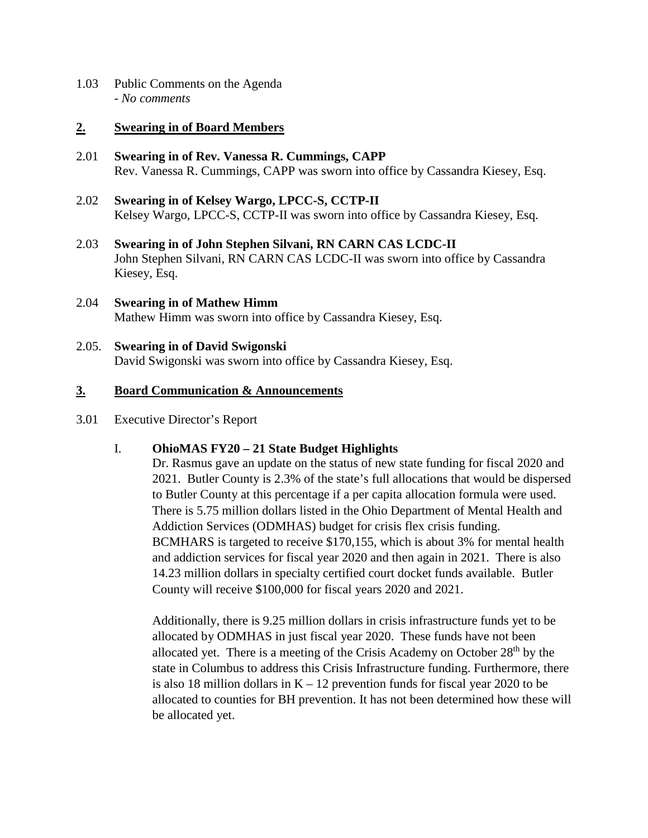1.03 Public Comments on the Agenda - *No comments*

## **2. Swearing in of Board Members**

- 2.01 **Swearing in of Rev. Vanessa R. Cummings, CAPP** Rev. Vanessa R. Cummings, CAPP was sworn into office by Cassandra Kiesey, Esq.
- 2.02 **Swearing in of Kelsey Wargo, LPCC-S, CCTP-II** Kelsey Wargo, LPCC-S, CCTP-II was sworn into office by Cassandra Kiesey, Esq.
- 2.03 **Swearing in of John Stephen Silvani, RN CARN CAS LCDC-II** John Stephen Silvani, RN CARN CAS LCDC-II was sworn into office by Cassandra Kiesey, Esq.
- 2.04 **Swearing in of Mathew Himm** Mathew Himm was sworn into office by Cassandra Kiesey, Esq.
- 2.05. **Swearing in of David Swigonski** David Swigonski was sworn into office by Cassandra Kiesey, Esq.

# **3. Board Communication & Announcements**

### 3.01 Executive Director's Report

# I. **OhioMAS FY20 – 21 State Budget Highlights**

Dr. Rasmus gave an update on the status of new state funding for fiscal 2020 and 2021. Butler County is 2.3% of the state's full allocations that would be dispersed to Butler County at this percentage if a per capita allocation formula were used. There is 5.75 million dollars listed in the Ohio Department of Mental Health and Addiction Services (ODMHAS) budget for crisis flex crisis funding. BCMHARS is targeted to receive \$170,155, which is about 3% for mental health and addiction services for fiscal year 2020 and then again in 2021. There is also 14.23 million dollars in specialty certified court docket funds available. Butler County will receive \$100,000 for fiscal years 2020 and 2021.

Additionally, there is 9.25 million dollars in crisis infrastructure funds yet to be allocated by ODMHAS in just fiscal year 2020. These funds have not been allocated yet. There is a meeting of the Crisis Academy on October 28<sup>th</sup> by the state in Columbus to address this Crisis Infrastructure funding. Furthermore, there is also 18 million dollars in  $K - 12$  prevention funds for fiscal year 2020 to be allocated to counties for BH prevention. It has not been determined how these will be allocated yet.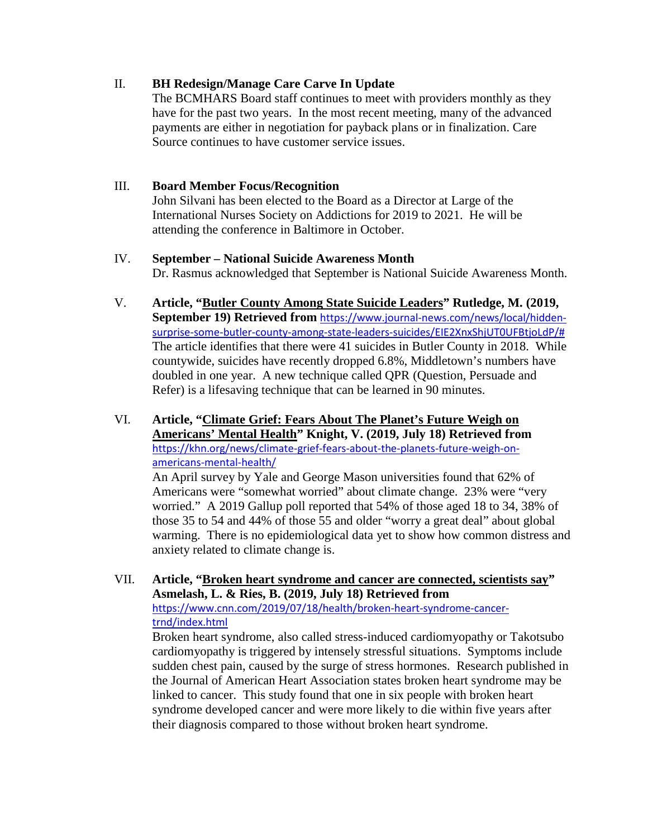# II. **BH Redesign/Manage Care Carve In Update**

The BCMHARS Board staff continues to meet with providers monthly as they have for the past two years. In the most recent meeting, many of the advanced payments are either in negotiation for payback plans or in finalization. Care Source continues to have customer service issues.

# III. **Board Member Focus/Recognition**

John Silvani has been elected to the Board as a Director at Large of the International Nurses Society on Addictions for 2019 to 2021. He will be attending the conference in Baltimore in October.

# IV. **September – National Suicide Awareness Month**

Dr. Rasmus acknowledged that September is National Suicide Awareness Month.

- V. **Article, "Butler County Among State Suicide Leaders" Rutledge, M. (2019, September 19) Retrieved from** [https://www.journal-news.com/news/local/hidden](https://www.journal-news.com/news/local/hidden-surprise-some-butler-county-among-state-leaders-suicides/EIE2XnxShjUT0UFBtjoLdP/)[surprise-some-butler-county-among-state-leaders-suicides/EIE2XnxShjUT0UFBtjoLdP/#](https://www.journal-news.com/news/local/hidden-surprise-some-butler-county-among-state-leaders-suicides/EIE2XnxShjUT0UFBtjoLdP/) The article identifies that there were 41 suicides in Butler County in 2018. While countywide, suicides have recently dropped 6.8%, Middletown's numbers have doubled in one year. A new technique called QPR (Question, Persuade and Refer) is a lifesaving technique that can be learned in 90 minutes.
- VI. **Article, "Climate Grief: Fears About The Planet's Future Weigh on Americans' Mental Health" Knight, V. (2019, July 18) Retrieved from**  [https://khn.org/news/climate-grief-fears-about-the-planets-future-weigh-on](https://khn.org/news/climate-grief-fears-about-the-planets-future-weigh-on-americans-mental-health/)[americans-mental-health/](https://khn.org/news/climate-grief-fears-about-the-planets-future-weigh-on-americans-mental-health/)

An April survey by Yale and George Mason universities found that 62% of Americans were "somewhat worried" about climate change. 23% were "very worried." A 2019 Gallup poll reported that 54% of those aged 18 to 34, 38% of those 35 to 54 and 44% of those 55 and older "worry a great deal" about global warming. There is no epidemiological data yet to show how common distress and anxiety related to climate change is.

VII. **Article, "Broken heart syndrome and cancer are connected, scientists say" Asmelash, L. & Ries, B. (2019, July 18) Retrieved from**  [https://www.cnn.com/2019/07/18/health/broken-heart-syndrome-cancer](https://www.cnn.com/2019/07/18/health/broken-heart-syndrome-cancer-trnd/index.html)[trnd/index.html](https://www.cnn.com/2019/07/18/health/broken-heart-syndrome-cancer-trnd/index.html) Broken heart syndrome, also called stress-induced cardiomyopathy or Takotsubo

cardiomyopathy is triggered by intensely stressful situations. Symptoms include sudden chest pain, caused by the surge of stress hormones. Research published in the Journal of American Heart Association states broken heart syndrome may be linked to cancer. This study found that one in six people with broken heart syndrome developed cancer and were more likely to die within five years after their diagnosis compared to those without broken heart syndrome.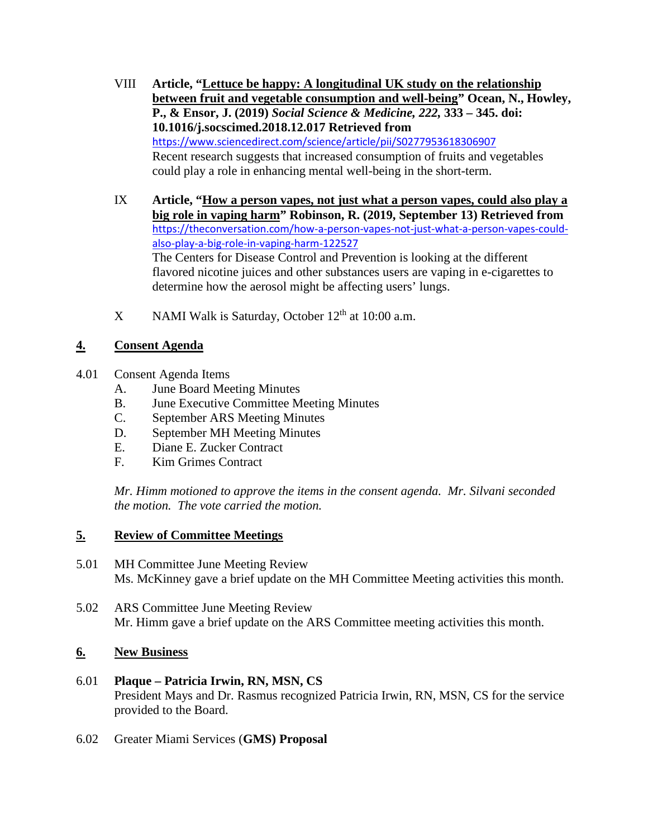- VIII **Article, "Lettuce be happy: A longitudinal UK study on the relationship between fruit and vegetable consumption and well-being" Ocean, N., Howley, P., & Ensor, J. (2019)** *Social Science & Medicine, 222,* **333 – 345. doi: 10.1016/j.socscimed.2018.12.017 Retrieved from**  <https://www.sciencedirect.com/science/article/pii/S0277953618306907> Recent research suggests that increased consumption of fruits and vegetables could play a role in enhancing mental well-being in the short-term.
- IX **Article, "How a person vapes, not just what a person vapes, could also play a big role in vaping harm" Robinson, R. (2019, September 13) Retrieved from**  [https://theconversation.com/how-a-person-vapes-not-just-what-a-person-vapes-could](https://theconversation.com/how-a-person-vapes-not-just-what-a-person-vapes-could-also-play-a-big-role-in-vaping-harm-122527)[also-play-a-big-role-in-vaping-harm-122527](https://theconversation.com/how-a-person-vapes-not-just-what-a-person-vapes-could-also-play-a-big-role-in-vaping-harm-122527) The Centers for Disease Control and Prevention is looking at the different flavored nicotine juices and other substances users are vaping in e-cigarettes to determine how the aerosol might be affecting users' lungs.
- X NAMI Walk is Saturday, October  $12<sup>th</sup>$  at 10:00 a.m.

# **4. Consent Agenda**

- 4.01 Consent Agenda Items
	- A. June Board Meeting Minutes
	- B. June Executive Committee Meeting Minutes
	- C. September ARS Meeting Minutes
	- D. September MH Meeting Minutes
	- E. Diane E. Zucker Contract
	- F. Kim Grimes Contract

*Mr. Himm motioned to approve the items in the consent agenda. Mr. Silvani seconded the motion. The vote carried the motion.*

# **5. Review of Committee Meetings**

- 5.01 MH Committee June Meeting Review Ms. McKinney gave a brief update on the MH Committee Meeting activities this month.
- 5.02 ARS Committee June Meeting Review Mr. Himm gave a brief update on the ARS Committee meeting activities this month.

# **6. New Business**

- 6.01 **Plaque – Patricia Irwin, RN, MSN, CS** President Mays and Dr. Rasmus recognized Patricia Irwin, RN, MSN, CS for the service provided to the Board.
- 6.02 Greater Miami Services (**GMS) Proposal**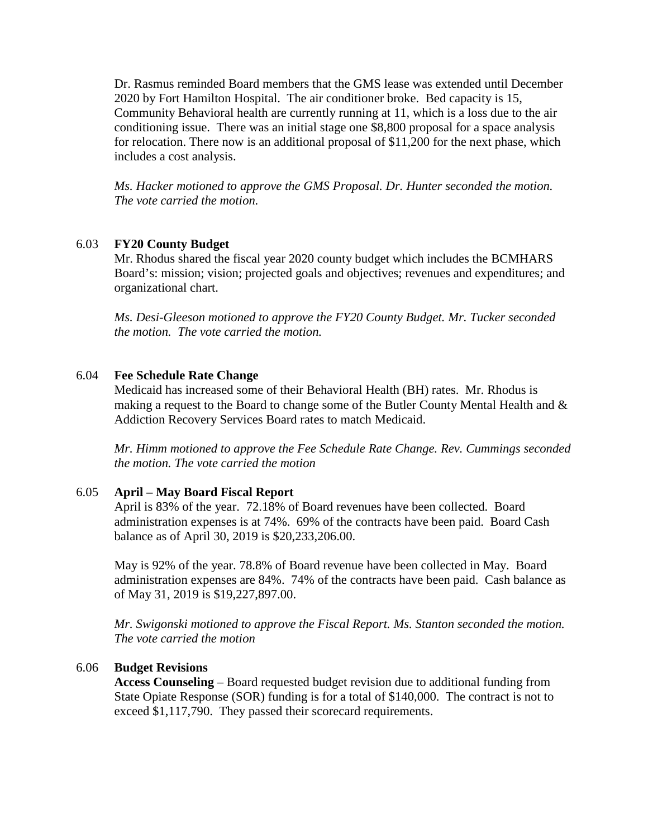Dr. Rasmus reminded Board members that the GMS lease was extended until December 2020 by Fort Hamilton Hospital. The air conditioner broke. Bed capacity is 15, Community Behavioral health are currently running at 11, which is a loss due to the air conditioning issue. There was an initial stage one \$8,800 proposal for a space analysis for relocation. There now is an additional proposal of \$11,200 for the next phase, which includes a cost analysis.

*Ms. Hacker motioned to approve the GMS Proposal. Dr. Hunter seconded the motion. The vote carried the motion.*

#### 6.03 **FY20 County Budget**

Mr. Rhodus shared the fiscal year 2020 county budget which includes the BCMHARS Board's: mission; vision; projected goals and objectives; revenues and expenditures; and organizational chart.

*Ms. Desi-Gleeson motioned to approve the FY20 County Budget. Mr. Tucker seconded the motion. The vote carried the motion.*

#### 6.04 **Fee Schedule Rate Change**

Medicaid has increased some of their Behavioral Health (BH) rates. Mr. Rhodus is making a request to the Board to change some of the Butler County Mental Health and & Addiction Recovery Services Board rates to match Medicaid.

*Mr. Himm motioned to approve the Fee Schedule Rate Change. Rev. Cummings seconded the motion. The vote carried the motion*

#### 6.05 **April – May Board Fiscal Report**

April is 83% of the year. 72.18% of Board revenues have been collected. Board administration expenses is at 74%. 69% of the contracts have been paid. Board Cash balance as of April 30, 2019 is \$20,233,206.00.

May is 92% of the year. 78.8% of Board revenue have been collected in May. Board administration expenses are 84%. 74% of the contracts have been paid. Cash balance as of May 31, 2019 is \$19,227,897.00.

*Mr. Swigonski motioned to approve the Fiscal Report. Ms. Stanton seconded the motion. The vote carried the motion*

#### 6.06 **Budget Revisions**

**Access Counseling** – Board requested budget revision due to additional funding from State Opiate Response (SOR) funding is for a total of \$140,000. The contract is not to exceed \$1,117,790. They passed their scorecard requirements.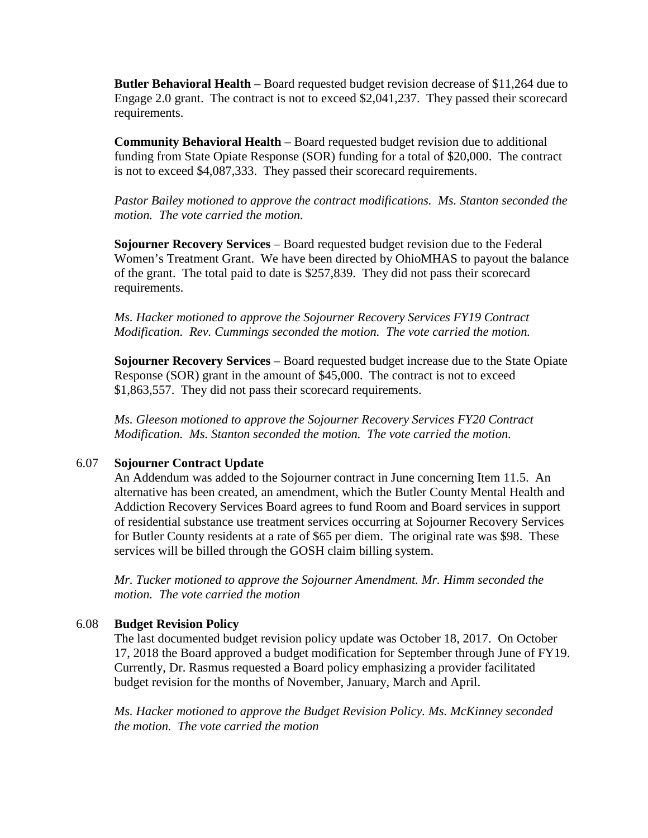**Butler Behavioral Health** – Board requested budget revision decrease of \$11,264 due to Engage 2.0 grant. The contract is not to exceed \$2,041,237. They passed their scorecard requirements.

**Community Behavioral Health** – Board requested budget revision due to additional funding from State Opiate Response (SOR) funding for a total of \$20,000. The contract is not to exceed \$4,087,333. They passed their scorecard requirements.

*Pastor Bailey motioned to approve the contract modifications. Ms. Stanton seconded the motion. The vote carried the motion.*

**Sojourner Recovery Services** – Board requested budget revision due to the Federal Women's Treatment Grant. We have been directed by OhioMHAS to payout the balance of the grant. The total paid to date is \$257,839. They did not pass their scorecard requirements.

*Ms. Hacker motioned to approve the Sojourner Recovery Services FY19 Contract Modification. Rev. Cummings seconded the motion. The vote carried the motion.* 

**Sojourner Recovery Services** – Board requested budget increase due to the State Opiate Response (SOR) grant in the amount of \$45,000. The contract is not to exceed \$1,863,557. They did not pass their scorecard requirements.

*Ms. Gleeson motioned to approve the Sojourner Recovery Services FY20 Contract Modification. Ms. Stanton seconded the motion. The vote carried the motion.* 

### 6.07 **Sojourner Contract Update**

An Addendum was added to the Sojourner contract in June concerning Item 11.5. An alternative has been created, an amendment, which the Butler County Mental Health and Addiction Recovery Services Board agrees to fund Room and Board services in support of residential substance use treatment services occurring at Sojourner Recovery Services for Butler County residents at a rate of \$65 per diem. The original rate was \$98. These services will be billed through the GOSH claim billing system.

*Mr. Tucker motioned to approve the Sojourner Amendment. Mr. Himm seconded the motion. The vote carried the motion*

### 6.08 **Budget Revision Policy**

The last documented budget revision policy update was October 18, 2017. On October 17, 2018 the Board approved a budget modification for September through June of FY19. Currently, Dr. Rasmus requested a Board policy emphasizing a provider facilitated budget revision for the months of November, January, March and April.

*Ms. Hacker motioned to approve the Budget Revision Policy. Ms. McKinney seconded the motion. The vote carried the motion*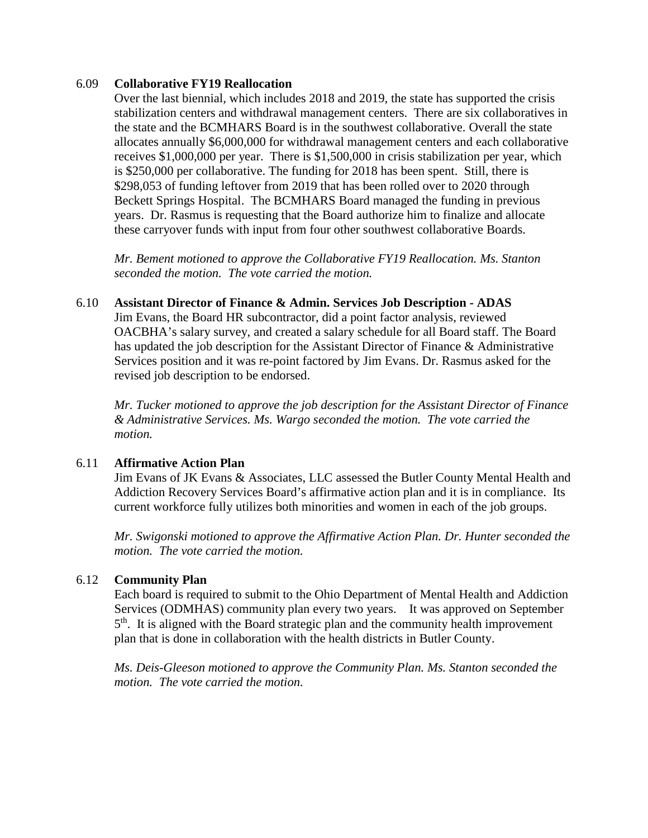### 6.09 **Collaborative FY19 Reallocation**

Over the last biennial, which includes 2018 and 2019, the state has supported the crisis stabilization centers and withdrawal management centers. There are six collaboratives in the state and the BCMHARS Board is in the southwest collaborative. Overall the state allocates annually \$6,000,000 for withdrawal management centers and each collaborative receives \$1,000,000 per year. There is \$1,500,000 in crisis stabilization per year, which is \$250,000 per collaborative. The funding for 2018 has been spent. Still, there is \$298,053 of funding leftover from 2019 that has been rolled over to 2020 through Beckett Springs Hospital. The BCMHARS Board managed the funding in previous years. Dr. Rasmus is requesting that the Board authorize him to finalize and allocate these carryover funds with input from four other southwest collaborative Boards.

*Mr. Bement motioned to approve the Collaborative FY19 Reallocation. Ms. Stanton seconded the motion. The vote carried the motion.*

### 6.10 **Assistant Director of Finance & Admin. Services Job Description - ADAS**

Jim Evans, the Board HR subcontractor, did a point factor analysis, reviewed OACBHA's salary survey, and created a salary schedule for all Board staff. The Board has updated the job description for the Assistant Director of Finance & Administrative Services position and it was re-point factored by Jim Evans. Dr. Rasmus asked for the revised job description to be endorsed.

*Mr. Tucker motioned to approve the job description for the Assistant Director of Finance & Administrative Services. Ms. Wargo seconded the motion. The vote carried the motion.*

### 6.11 **Affirmative Action Plan**

Jim Evans of JK Evans & Associates, LLC assessed the Butler County Mental Health and Addiction Recovery Services Board's affirmative action plan and it is in compliance. Its current workforce fully utilizes both minorities and women in each of the job groups.

*Mr. Swigonski motioned to approve the Affirmative Action Plan. Dr. Hunter seconded the motion. The vote carried the motion.*

### 6.12 **Community Plan**

Each board is required to submit to the Ohio Department of Mental Health and Addiction Services (ODMHAS) community plan every two years. It was approved on September  $5<sup>th</sup>$ . It is aligned with the Board strategic plan and the community health improvement plan that is done in collaboration with the health districts in Butler County.

*Ms. Deis-Gleeson motioned to approve the Community Plan. Ms. Stanton seconded the motion. The vote carried the motion.*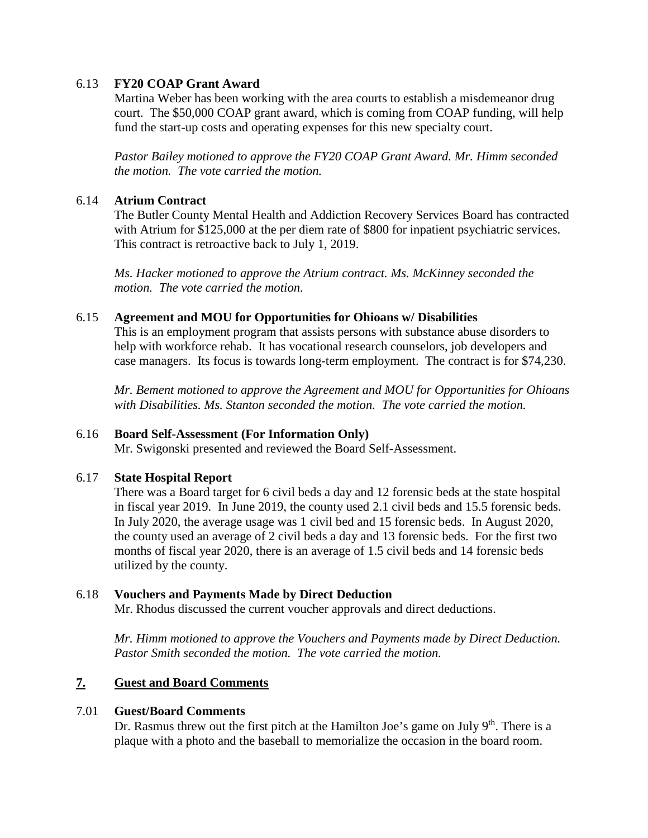# 6.13 **FY20 COAP Grant Award**

Martina Weber has been working with the area courts to establish a misdemeanor drug court. The \$50,000 COAP grant award, which is coming from COAP funding, will help fund the start-up costs and operating expenses for this new specialty court.

*Pastor Bailey motioned to approve the FY20 COAP Grant Award. Mr. Himm seconded the motion. The vote carried the motion.*

## 6.14 **Atrium Contract**

The Butler County Mental Health and Addiction Recovery Services Board has contracted with Atrium for \$125,000 at the per diem rate of \$800 for inpatient psychiatric services. This contract is retroactive back to July 1, 2019.

*Ms. Hacker motioned to approve the Atrium contract. Ms. McKinney seconded the motion. The vote carried the motion.* 

### 6.15 **Agreement and MOU for Opportunities for Ohioans w/ Disabilities**

This is an employment program that assists persons with substance abuse disorders to help with workforce rehab. It has vocational research counselors, job developers and case managers. Its focus is towards long-term employment. The contract is for \$74,230.

*Mr. Bement motioned to approve the Agreement and MOU for Opportunities for Ohioans with Disabilities. Ms. Stanton seconded the motion. The vote carried the motion.*

### 6.16 **Board Self-Assessment (For Information Only)**

Mr. Swigonski presented and reviewed the Board Self-Assessment.

### 6.17 **State Hospital Report**

There was a Board target for 6 civil beds a day and 12 forensic beds at the state hospital in fiscal year 2019. In June 2019, the county used 2.1 civil beds and 15.5 forensic beds. In July 2020, the average usage was 1 civil bed and 15 forensic beds. In August 2020, the county used an average of 2 civil beds a day and 13 forensic beds. For the first two months of fiscal year 2020, there is an average of 1.5 civil beds and 14 forensic beds utilized by the county.

### 6.18 **Vouchers and Payments Made by Direct Deduction**

Mr. Rhodus discussed the current voucher approvals and direct deductions.

*Mr. Himm motioned to approve the Vouchers and Payments made by Direct Deduction. Pastor Smith seconded the motion. The vote carried the motion.*

# **7. Guest and Board Comments**

### 7.01 **Guest/Board Comments**

Dr. Rasmus threw out the first pitch at the Hamilton Joe's game on July  $9<sup>th</sup>$ . There is a plaque with a photo and the baseball to memorialize the occasion in the board room.